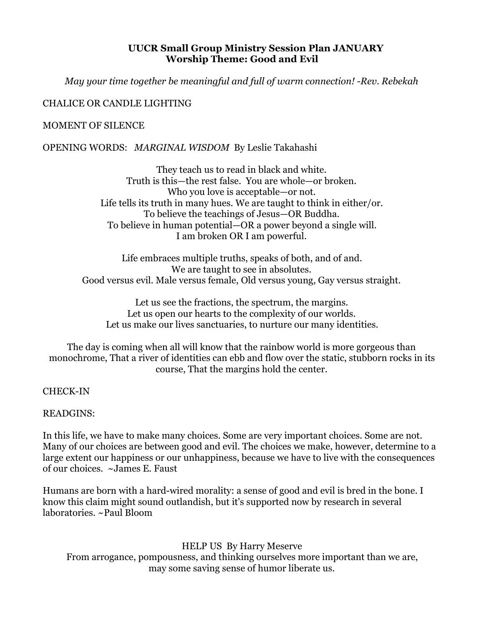#### **UUCR Small Group Ministry Session Plan JANUARY Worship Theme: Good and Evil**

*May your time together be meaningful and full of warm connection! -Rev. Rebekah* 

## CHALICE OR CANDLE LIGHTING

#### MOMENT OF SILENCE

OPENING WORDS: *MARGINAL WISDOM* By Leslie Takahashi

They teach us to read in black and white. Truth is this—the rest false. You are whole—or broken. Who you love is acceptable—or not. Life tells its truth in many hues. We are taught to think in either/or. To believe the teachings of Jesus—OR Buddha. To believe in human potential—OR a power beyond a single will. I am broken OR I am powerful.

Life embraces multiple truths, speaks of both, and of and. We are taught to see in absolutes. Good versus evil. Male versus female, Old versus young, Gay versus straight.

Let us see the fractions, the spectrum, the margins. Let us open our hearts to the complexity of our worlds. Let us make our lives sanctuaries, to nurture our many identities.

The day is coming when all will know that the rainbow world is more gorgeous than monochrome, That a river of identities can ebb and flow over the static, stubborn rocks in its course, That the margins hold the center.

#### CHECK-IN

#### READGINS:

In this life, we have to make many choices. Some are very important choices. Some are not. Many of our choices are between good and evil. The choices we make, however, determine to a large extent our happiness or our unhappiness, because we have to live with the consequences of our choices. ~James E. Faust

Humans are born with a hard-wired morality: a sense of good and evil is bred in the bone. I know this claim might sound outlandish, but it's supported now by research in several laboratories. ~Paul Bloom

HELP US By Harry Meserve From arrogance, pompousness, and thinking ourselves more important than we are, may some saving sense of humor liberate us.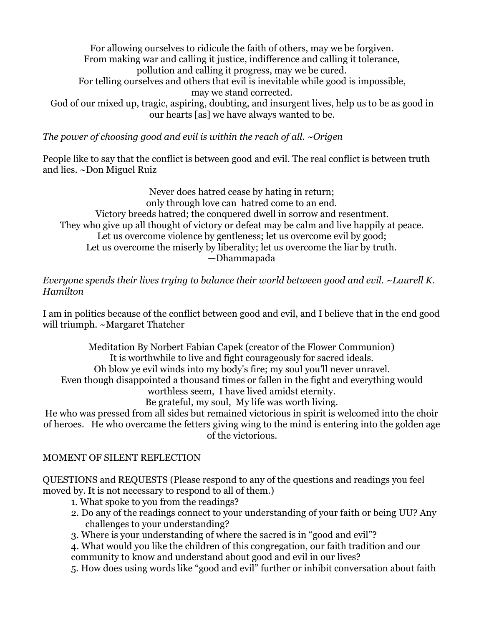For allowing ourselves to ridicule the faith of others, may we be forgiven. From making war and calling it justice, indifference and calling it tolerance, pollution and calling it progress, may we be cured. For telling ourselves and others that evil is inevitable while good is impossible, may we stand corrected. God of our mixed up, tragic, aspiring, doubting, and insurgent lives, help us to be as good in

our hearts [as] we have always wanted to be.

*The power of choosing good and evil is within the reach of all. ~Origen* 

People like to say that the conflict is between good and evil. The real conflict is between truth and lies. ~Don Miguel Ruiz

Never does hatred cease by hating in return; only through love can hatred come to an end. Victory breeds hatred; the conquered dwell in sorrow and resentment. They who give up all thought of victory or defeat may be calm and live happily at peace. Let us overcome violence by gentleness; let us overcome evil by good; Let us overcome the miserly by liberality; let us overcome the liar by truth. —Dhammapada

*Everyone spends their lives trying to balance their world between good and evil. ~Laurell K. Hamilton* 

I am in politics because of the conflict between good and evil, and I believe that in the end good will triumph. ~Margaret Thatcher

Meditation By Norbert Fabian Capek (creator of the Flower Communion) It is worthwhile to live and fight courageously for sacred ideals. Oh blow ye evil winds into my body's fire; my soul you'll never unravel. Even though disappointed a thousand times or fallen in the fight and everything would worthless seem, I have lived amidst eternity.

Be grateful, my soul, My life was worth living.

He who was pressed from all sides but remained victorious in spirit is welcomed into the choir of heroes. He who overcame the fetters giving wing to the mind is entering into the golden age of the victorious.

# MOMENT OF SILENT REFLECTION

QUESTIONS and REQUESTS (Please respond to any of the questions and readings you feel moved by. It is not necessary to respond to all of them.)

- 1. What spoke to you from the readings?
- 2. Do any of the readings connect to your understanding of your faith or being UU? Any challenges to your understanding?
- 3. Where is your understanding of where the sacred is in "good and evil"?

4. What would you like the children of this congregation, our faith tradition and our community to know and understand about good and evil in our lives?

5. How does using words like "good and evil" further or inhibit conversation about faith